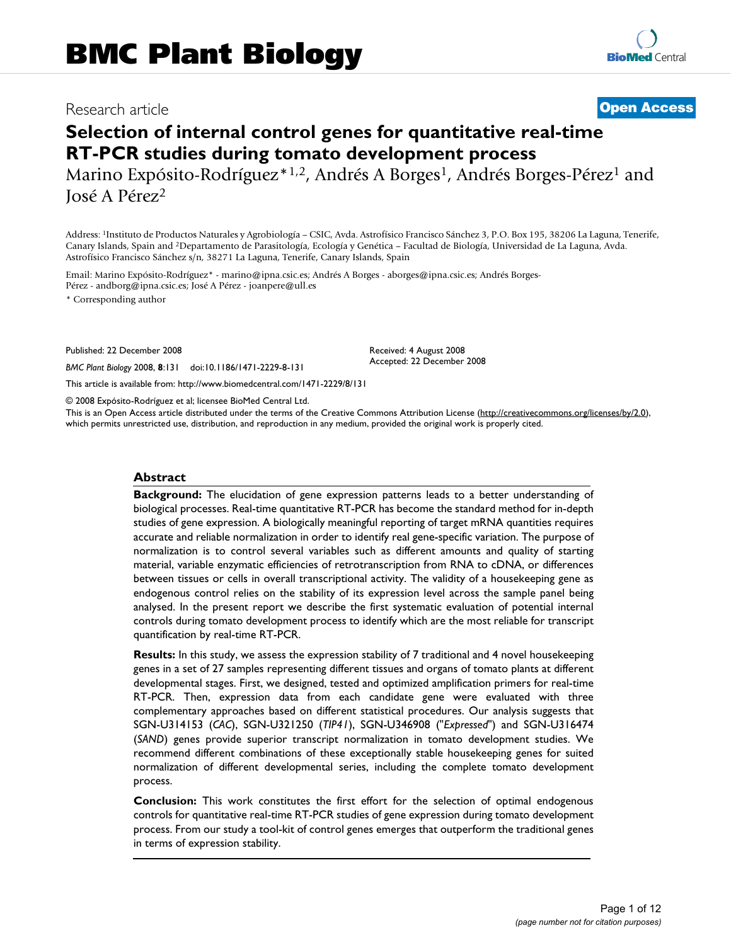# Research article **[Open Access](http://www.biomedcentral.com/info/about/charter/)**

# **Selection of internal control genes for quantitative real-time RT-PCR studies during tomato development process**

Marino Expósito-Rodríguez\*<sup>1,2</sup>, Andrés A Borges<sup>1</sup>, Andrés Borges-Pérez<sup>1</sup> and José A Pérez2

Address: 1Instituto de Productos Naturales y Agrobiología – CSIC, Avda. Astrofísico Francisco Sánchez 3, P.O. Box 195, 38206 La Laguna, Tenerife, Canary Islands, Spain and 2Departamento de Parasitología, Ecología y Genética – Facultad de Biología, Universidad de La Laguna, Avda. Astrofísico Francisco Sánchez s/n, 38271 La Laguna, Tenerife, Canary Islands, Spain

Email: Marino Expósito-Rodríguez\* - marino@ipna.csic.es; Andrés A Borges - aborges@ipna.csic.es; Andrés Borges-Pérez - andborg@ipna.csic.es; José A Pérez - joanpere@ull.es

\* Corresponding author

Published: 22 December 2008

*BMC Plant Biology* 2008, **8**:131 doi:10.1186/1471-2229-8-131

[This article is available from: http://www.biomedcentral.com/1471-2229/8/131](http://www.biomedcentral.com/1471-2229/8/131)

© 2008 Expósito-Rodríguez et al; licensee BioMed Central Ltd.

This is an Open Access article distributed under the terms of the Creative Commons Attribution License [\(http://creativecommons.org/licenses/by/2.0\)](http://creativecommons.org/licenses/by/2.0), which permits unrestricted use, distribution, and reproduction in any medium, provided the original work is properly cited.

Received: 4 August 2008 Accepted: 22 December 2008

#### **Abstract**

**Background:** The elucidation of gene expression patterns leads to a better understanding of biological processes. Real-time quantitative RT-PCR has become the standard method for in-depth studies of gene expression. A biologically meaningful reporting of target mRNA quantities requires accurate and reliable normalization in order to identify real gene-specific variation. The purpose of normalization is to control several variables such as different amounts and quality of starting material, variable enzymatic efficiencies of retrotranscription from RNA to cDNA, or differences between tissues or cells in overall transcriptional activity. The validity of a housekeeping gene as endogenous control relies on the stability of its expression level across the sample panel being analysed. In the present report we describe the first systematic evaluation of potential internal controls during tomato development process to identify which are the most reliable for transcript quantification by real-time RT-PCR.

**Results:** In this study, we assess the expression stability of 7 traditional and 4 novel housekeeping genes in a set of 27 samples representing different tissues and organs of tomato plants at different developmental stages. First, we designed, tested and optimized amplification primers for real-time RT-PCR. Then, expression data from each candidate gene were evaluated with three complementary approaches based on different statistical procedures. Our analysis suggests that SGN-U314153 (*CAC*), SGN-U321250 (*TIP41*), SGN-U346908 ("*Expressed*") and SGN-U316474 (*SAND*) genes provide superior transcript normalization in tomato development studies. We recommend different combinations of these exceptionally stable housekeeping genes for suited normalization of different developmental series, including the complete tomato development process.

**Conclusion:** This work constitutes the first effort for the selection of optimal endogenous controls for quantitative real-time RT-PCR studies of gene expression during tomato development process. From our study a tool-kit of control genes emerges that outperform the traditional genes in terms of expression stability.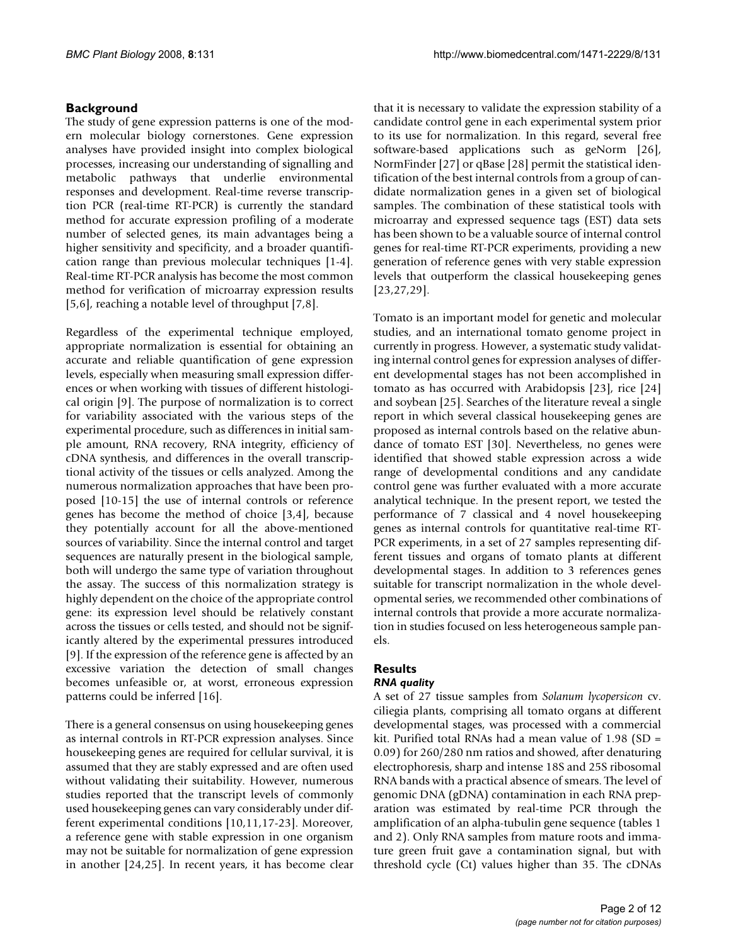# **Background**

The study of gene expression patterns is one of the modern molecular biology cornerstones. Gene expression analyses have provided insight into complex biological processes, increasing our understanding of signalling and metabolic pathways that underlie environmental responses and development. Real-time reverse transcription PCR (real-time RT-PCR) is currently the standard method for accurate expression profiling of a moderate number of selected genes, its main advantages being a higher sensitivity and specificity, and a broader quantification range than previous molecular techniques [1-4]. Real-time RT-PCR analysis has become the most common method for verification of microarray expression results [5,6], reaching a notable level of throughput [7,8].

Regardless of the experimental technique employed, appropriate normalization is essential for obtaining an accurate and reliable quantification of gene expression levels, especially when measuring small expression differences or when working with tissues of different histological origin [9]. The purpose of normalization is to correct for variability associated with the various steps of the experimental procedure, such as differences in initial sample amount, RNA recovery, RNA integrity, efficiency of cDNA synthesis, and differences in the overall transcriptional activity of the tissues or cells analyzed. Among the numerous normalization approaches that have been proposed [10-15] the use of internal controls or reference genes has become the method of choice [3,4], because they potentially account for all the above-mentioned sources of variability. Since the internal control and target sequences are naturally present in the biological sample, both will undergo the same type of variation throughout the assay. The success of this normalization strategy is highly dependent on the choice of the appropriate control gene: its expression level should be relatively constant across the tissues or cells tested, and should not be significantly altered by the experimental pressures introduced [9]. If the expression of the reference gene is affected by an excessive variation the detection of small changes becomes unfeasible or, at worst, erroneous expression patterns could be inferred [16].

There is a general consensus on using housekeeping genes as internal controls in RT-PCR expression analyses. Since housekeeping genes are required for cellular survival, it is assumed that they are stably expressed and are often used without validating their suitability. However, numerous studies reported that the transcript levels of commonly used housekeeping genes can vary considerably under different experimental conditions [10,11,17-23]. Moreover, a reference gene with stable expression in one organism may not be suitable for normalization of gene expression in another [24,25]. In recent years, it has become clear

that it is necessary to validate the expression stability of a candidate control gene in each experimental system prior to its use for normalization. In this regard, several free software-based applications such as geNorm [26], NormFinder [27] or qBase [28] permit the statistical identification of the best internal controls from a group of candidate normalization genes in a given set of biological samples. The combination of these statistical tools with microarray and expressed sequence tags (EST) data sets has been shown to be a valuable source of internal control genes for real-time RT-PCR experiments, providing a new generation of reference genes with very stable expression levels that outperform the classical housekeeping genes [23,27,29].

Tomato is an important model for genetic and molecular studies, and an international tomato genome project in currently in progress. However, a systematic study validating internal control genes for expression analyses of different developmental stages has not been accomplished in tomato as has occurred with Arabidopsis [23], rice [24] and soybean [25]. Searches of the literature reveal a single report in which several classical housekeeping genes are proposed as internal controls based on the relative abundance of tomato EST [30]. Nevertheless, no genes were identified that showed stable expression across a wide range of developmental conditions and any candidate control gene was further evaluated with a more accurate analytical technique. In the present report, we tested the performance of 7 classical and 4 novel housekeeping genes as internal controls for quantitative real-time RT-PCR experiments, in a set of 27 samples representing different tissues and organs of tomato plants at different developmental stages. In addition to 3 references genes suitable for transcript normalization in the whole developmental series, we recommended other combinations of internal controls that provide a more accurate normalization in studies focused on less heterogeneous sample panels.

#### **Results** *RNA quality*

A set of 27 tissue samples from *Solanum lycopersicon* cv. ciliegia plants, comprising all tomato organs at different developmental stages, was processed with a commercial kit. Purified total RNAs had a mean value of 1.98 (SD = 0.09) for 260/280 nm ratios and showed, after denaturing electrophoresis, sharp and intense 18S and 25S ribosomal RNA bands with a practical absence of smears. The level of genomic DNA (gDNA) contamination in each RNA preparation was estimated by real-time PCR through the amplification of an alpha-tubulin gene sequence (tables 1 and 2). Only RNA samples from mature roots and immature green fruit gave a contamination signal, but with threshold cycle (Ct) values higher than 35. The cDNAs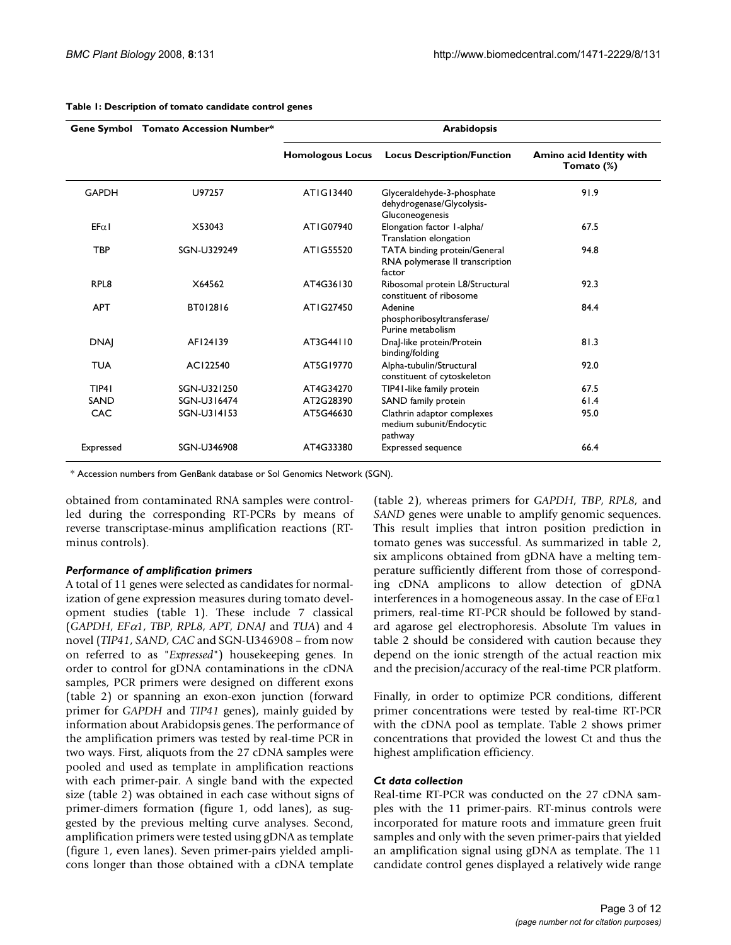|              | Gene Symbol Tomato Accession Number* | <b>Arabidopsis</b>      |                                                                            |                                        |  |
|--------------|--------------------------------------|-------------------------|----------------------------------------------------------------------------|----------------------------------------|--|
|              |                                      | <b>Homologous Locus</b> | <b>Locus Description/Function</b>                                          | Amino acid Identity with<br>Tomato (%) |  |
| <b>GAPDH</b> | U97257                               | ATIG13440               | Glyceraldehyde-3-phosphate<br>dehydrogenase/Glycolysis-<br>Gluconeogenesis | 91.9                                   |  |
| EFAI         | X53043                               | ATIG07940               | Elongation factor 1-alpha/<br>Translation elongation                       | 67.5                                   |  |
| <b>TBP</b>   | SGN-U329249                          | ATIG55520               | TATA binding protein/General<br>RNA polymerase II transcription<br>factor  | 94.8                                   |  |
| RPL8         | X64562                               | AT4G36130               | Ribosomal protein L8/Structural<br>constituent of ribosome                 | 92.3                                   |  |
| <b>APT</b>   | BT012816                             | ATIG27450               | Adenine<br>phosphoribosyltransferase/<br>Purine metabolism                 | 84.4                                   |  |
| <b>DNAI</b>  | AF124139                             | AT3G44110               | DnaJ-like protein/Protein<br>binding/folding                               | 81.3                                   |  |
| <b>TUA</b>   | AC122540                             | AT5G19770               | Alpha-tubulin/Structural<br>constituent of cytoskeleton                    | 92.0                                   |  |
| TIP41        | SGN-U321250                          | AT4G34270               | TIP41-like family protein                                                  | 67.5                                   |  |
| SAND         | SGN-U316474                          | AT2G28390               | SAND family protein                                                        | 61.4                                   |  |
| CAC          | SGN-U314153                          | AT5G46630               | Clathrin adaptor complexes<br>medium subunit/Endocytic<br>pathway          | 95.0                                   |  |
| Expressed    | SGN-U346908                          | AT4G33380               | <b>Expressed sequence</b>                                                  | 66.4                                   |  |

#### **Table 1: Description of tomato candidate control genes**

\* Accession numbers from GenBank database or Sol Genomics Network (SGN).

obtained from contaminated RNA samples were controlled during the corresponding RT-PCRs by means of reverse transcriptase-minus amplification reactions (RTminus controls).

#### *Performance of amplification primers*

A total of 11 genes were selected as candidates for normalization of gene expression measures during tomato development studies (table 1). These include 7 classical (*GAPDH*, *EF*α*1*, *TBP*, *RPL8*, *APT*, *DNAJ* and *TUA*) and 4 novel (*TIP41*, *SAND*, *CAC* and SGN-U346908 – from now on referred to as "*Expressed*") housekeeping genes. In order to control for gDNA contaminations in the cDNA samples, PCR primers were designed on different exons (table 2) or spanning an exon-exon junction (forward primer for *GAPDH* and *TIP41* genes), mainly guided by information about Arabidopsis genes. The performance of the amplification primers was tested by real-time PCR in two ways. First, aliquots from the 27 cDNA samples were pooled and used as template in amplification reactions with each primer-pair. A single band with the expected size (table 2) was obtained in each case without signs of primer-dimers formation (figure 1, odd lanes), as suggested by the previous melting curve analyses. Second, amplification primers were tested using gDNA as template (figure 1, even lanes). Seven primer-pairs yielded amplicons longer than those obtained with a cDNA template (table 2), whereas primers for *GAPDH*, *TBP*, *RPL8*, and *SAND* genes were unable to amplify genomic sequences. This result implies that intron position prediction in tomato genes was successful. As summarized in table 2, six amplicons obtained from gDNA have a melting temperature sufficiently different from those of corresponding cDNA amplicons to allow detection of gDNA interferences in a homogeneous assay. In the case of  $EFa1$ primers, real-time RT-PCR should be followed by standard agarose gel electrophoresis. Absolute Tm values in table 2 should be considered with caution because they depend on the ionic strength of the actual reaction mix and the precision/accuracy of the real-time PCR platform.

Finally, in order to optimize PCR conditions, different primer concentrations were tested by real-time RT-PCR with the cDNA pool as template. Table 2 shows primer concentrations that provided the lowest Ct and thus the highest amplification efficiency.

#### *Ct data collection*

Real-time RT-PCR was conducted on the 27 cDNA samples with the 11 primer-pairs. RT-minus controls were incorporated for mature roots and immature green fruit samples and only with the seven primer-pairs that yielded an amplification signal using gDNA as template. The 11 candidate control genes displayed a relatively wide range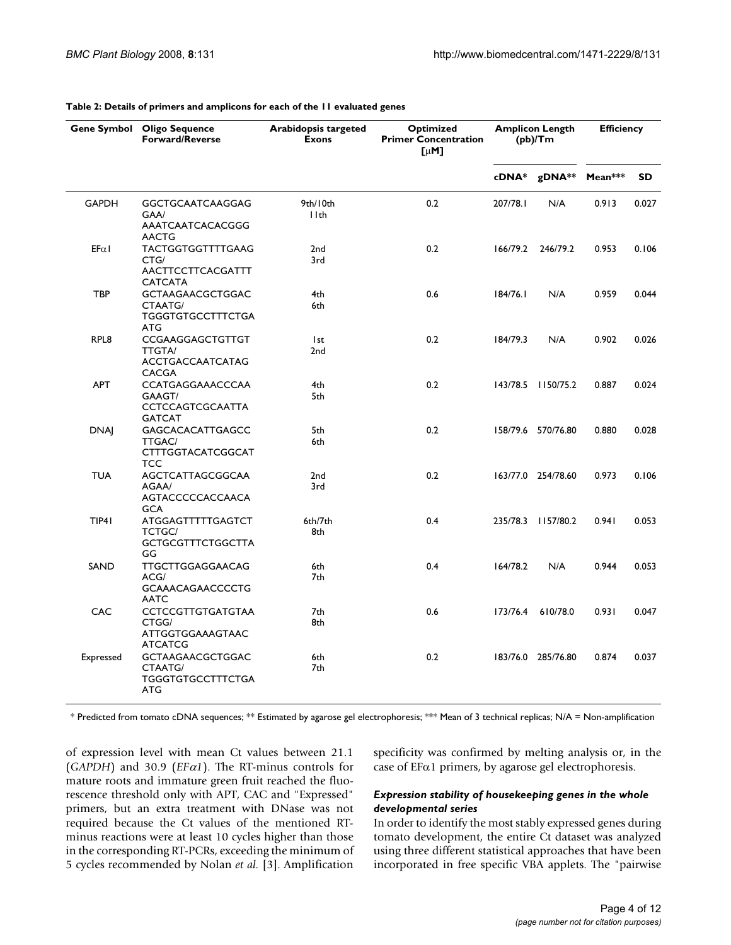| Gene Symbol  | <b>Oligo Sequence</b><br><b>Forward/Reverse</b>                               | Arabidopsis targeted<br><b>Exons</b> | <b>Optimized</b><br><b>Primer Concentration</b><br>$\left[\mu M\right]$ | <b>Amplicon Length</b><br>(pb)/Tm |                    | <b>Efficiency</b> |       |
|--------------|-------------------------------------------------------------------------------|--------------------------------------|-------------------------------------------------------------------------|-----------------------------------|--------------------|-------------------|-------|
|              |                                                                               |                                      |                                                                         |                                   | cDNA* gDNA**       | Mean***           | SD    |
| <b>GAPDH</b> | GGCTGCAATCAAGGAG<br>GAA/<br>AAATCAATCACACGGG<br><b>AACTG</b>                  | 9th/10th<br>11th                     | 0.2                                                                     | 207/78.1                          | N/A                | 0.913             | 0.027 |
| $EF\alpha I$ | TACTGGTGGTTTTGAAG<br>CTG/<br>AACTTCCTTCACGATTT<br><b>CATCATA</b>              | 2 <sub>nd</sub><br>3rd               | 0.2                                                                     |                                   | 166/79.2 246/79.2  | 0.953             | 0.106 |
| TBP          | <b>GCTAAGAACGCTGGAC</b><br>CTAATG/<br><b>TGGGTGTGCCTTTCTGA</b><br><b>ATG</b>  | 4th<br>6th                           | 0.6                                                                     | 184/76.1                          | N/A                | 0.959             | 0.044 |
| RPL8         | <b>CCGAAGGAGCTGTTGT</b><br><b>TTGTA/</b><br>ACCTGACCAATCATAG<br><b>CACGA</b>  | <b>Ist</b><br>2nd                    | 0.2                                                                     | 184/79.3                          | N/A                | 0.902             | 0.026 |
| <b>APT</b>   | <b>CCATGAGGAAACCCAA</b><br>GAAGT/<br><b>CCTCCAGTCGCAATTA</b><br><b>GATCAT</b> | 4th<br>5th                           | 0.2                                                                     |                                   | 143/78.5 1150/75.2 | 0.887             | 0.024 |
| <b>DNA</b>   | GAGCACACATTGAGCC<br><b>TTGAC/</b><br>CTTTGGTACATCGGCAT<br>тсс                 | 5th<br>6th                           | 0.2                                                                     |                                   | 158/79.6 570/76.80 | 0.880             | 0.028 |
| <b>TUA</b>   | AGCTCATTAGCGGCAA<br>AGAA/<br>AGTACCCCCACCAACA<br><b>GCA</b>                   | 2nd<br>3rd                           | 0.2                                                                     |                                   | 163/77.0 254/78.60 | 0.973             | 0.106 |
| TIP41        | ATGGAGTTTTTGAGTCT<br>TCTGC/<br><b>GCTGCGTTTCTGGCTTA</b><br>GG                 | 6th/7th<br>8th                       | 0.4                                                                     |                                   | 235/78.3 1157/80.2 | 0.941             | 0.053 |
| SAND         | TTGCTTGGAGGAACAG<br>ACG/<br><b>GCAAACAGAACCCCTG</b><br><b>AATC</b>            | 6th<br>7th                           | 0.4                                                                     | 164/78.2                          | N/A                | 0.944             | 0.053 |
| CAC          | <b>CCTCCGTTGTGATGTAA</b><br>CTGG/<br>ATTGGTGGAAAGTAAC<br><b>ATCATCG</b>       | 7th<br>8th                           | 0.6                                                                     | 173/76.4                          | 610/78.0           | 0.931             | 0.047 |
| Expressed    | <b>GCTAAGAACGCTGGAC</b><br>CTAATG/<br>TGGGTGTGCCTTTCTGA<br><b>ATG</b>         | 6th<br>7th                           | 0.2                                                                     |                                   | 183/76.0 285/76.80 | 0.874             | 0.037 |

#### **Table 2: Details of primers and amplicons for each of the 11 evaluated genes**

\* Predicted from tomato cDNA sequences; \*\* Estimated by agarose gel electrophoresis; \*\*\* Mean of 3 technical replicas; N/A = Non-amplification

of expression level with mean Ct values between 21.1 (*GAPDH*) and 30.9 (*EF*α*1*). The RT-minus controls for mature roots and immature green fruit reached the fluorescence threshold only with APT, CAC and "Expressed" primers, but an extra treatment with DNase was not required because the Ct values of the mentioned RTminus reactions were at least 10 cycles higher than those in the corresponding RT-PCRs, exceeding the minimum of 5 cycles recommended by Nolan *et al.* [3]. Amplification specificity was confirmed by melting analysis or, in the case of  $EFa1$  primers, by agarose gel electrophoresis.

# *Expression stability of housekeeping genes in the whole developmental series*

In order to identify the most stably expressed genes during tomato development, the entire Ct dataset was analyzed using three different statistical approaches that have been incorporated in free specific VBA applets. The "pairwise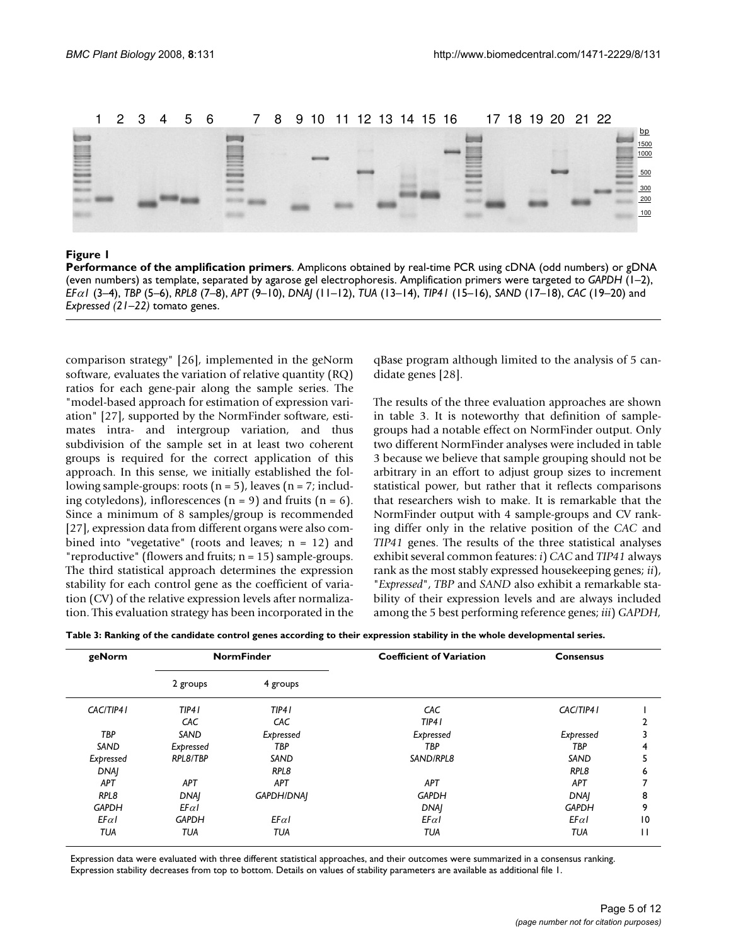

### **Figure 1**

**Performance of the amplification primers**. Amplicons obtained by real-time PCR using cDNA (odd numbers) or gDNA (even numbers) as template, separated by agarose gel electrophoresis. Amplification primers were targeted to *GAPDH* (1–2), *EF*α*1* (3–4), *TBP* (5–6), *RPL8* (7–8), *APT* (9–10), *DNAJ* (11–12), *TUA* (13–14), *TIP41* (15–16), *SAND* (17–18), *CAC* (19–20) and *Expressed (21–22)* tomato genes.

comparison strategy" [26], implemented in the geNorm software, evaluates the variation of relative quantity (RQ) ratios for each gene-pair along the sample series. The "model-based approach for estimation of expression variation" [27], supported by the NormFinder software, estimates intra- and intergroup variation, and thus subdivision of the sample set in at least two coherent groups is required for the correct application of this approach. In this sense, we initially established the following sample-groups: roots  $(n = 5)$ , leaves  $(n = 7)$ ; including cotyledons), inflorescences ( $n = 9$ ) and fruits ( $n = 6$ ). Since a minimum of 8 samples/group is recommended [27], expression data from different organs were also combined into "vegetative" (roots and leaves;  $n = 12$ ) and "reproductive" (flowers and fruits; n = 15) sample-groups. The third statistical approach determines the expression stability for each control gene as the coefficient of variation (CV) of the relative expression levels after normalization. This evaluation strategy has been incorporated in the qBase program although limited to the analysis of 5 candidate genes [28].

The results of the three evaluation approaches are shown in table 3. It is noteworthy that definition of samplegroups had a notable effect on NormFinder output. Only two different NormFinder analyses were included in table 3 because we believe that sample grouping should not be arbitrary in an effort to adjust group sizes to increment statistical power, but rather that it reflects comparisons that researchers wish to make. It is remarkable that the NormFinder output with 4 sample-groups and CV ranking differ only in the relative position of the *CAC* and *TIP41* genes. The results of the three statistical analyses exhibit several common features: *i*) *CAC* and *TIP41* always rank as the most stably expressed housekeeping genes; *ii*), "*Expressed*", *TBP* and *SAND* also exhibit a remarkable stability of their expression levels and are always included among the 5 best performing reference genes; *iii*) *GAPDH,*

**Table 3: Ranking of the candidate control genes according to their expression stability in the whole developmental series.**

| geNorm       | <b>NormFinder</b> |                   | <b>Coefficient of Variation</b> | <b>Consensus</b> |    |
|--------------|-------------------|-------------------|---------------------------------|------------------|----|
|              | 2 groups          | 4 groups          |                                 |                  |    |
| CAC/TIP41    | TIP41             | TIP41             | CAC                             | CAC/TIP41        |    |
|              | <b>CAC</b>        | CAC               | TIP41                           |                  | 2  |
| TBP          | SAND              | Expressed         | Expressed                       | Expressed        | 3  |
| SAND         | Expressed         | TBP               | TBP                             | <b>TBP</b>       | 4  |
| Expressed    | RPL8/TBP          | SAND              | SAND/RPL8                       | SAND             | 5  |
| <b>DNAJ</b>  |                   | RPL8              |                                 | RPL8             | 6  |
| APT          | <b>APT</b>        | APT               | <b>APT</b>                      | APT              |    |
| RPL8         | <b>DNAI</b>       | <b>GAPDH/DNAI</b> | <b>GAPDH</b>                    | <b>DNAI</b>      | 8  |
| <b>GAPDH</b> | EFAI              |                   | <b>DNAI</b>                     | <b>GAPDH</b>     | 9  |
| EFAI         | <b>GAPDH</b>      | EFAI              | EFAI                            | EFAI             | 10 |
| <b>TUA</b>   | <b>TUA</b>        | <b>TUA</b>        | <b>TUA</b>                      | <b>TUA</b>       | П  |

Expression data were evaluated with three different statistical approaches, and their outcomes were summarized in a consensus ranking. Expression stability decreases from top to bottom. Details on values of stability parameters are available as additional file 1.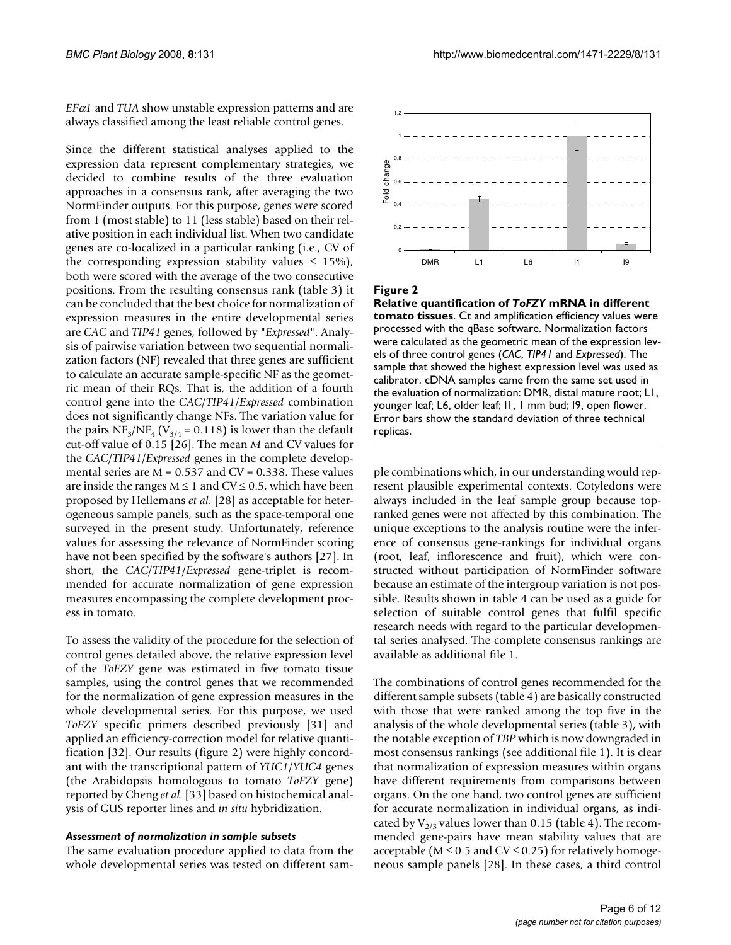*EF*α*1* and *TUA* show unstable expression patterns and are always classified among the least reliable control genes.

Since the different statistical analyses applied to the expression data represent complementary strategies, we decided to combine results of the three evaluation approaches in a consensus rank, after averaging the two NormFinder outputs. For this purpose, genes were scored from 1 (most stable) to 11 (less stable) based on their relative position in each individual list. When two candidate genes are co-localized in a particular ranking (i.e., CV of the corresponding expression stability values  $\leq 15\%$ ), both were scored with the average of the two consecutive positions. From the resulting consensus rank (table 3) it can be concluded that the best choice for normalization of expression measures in the entire developmental series are *CAC* and *TIP41* genes, followed by "*Expressed*". Analysis of pairwise variation between two sequential normalization factors (NF) revealed that three genes are sufficient to calculate an accurate sample-specific NF as the geometric mean of their RQs. That is, the addition of a fourth control gene into the *CAC*/*TIP41*/*Expressed* combination does not significantly change NFs. The variation value for the pairs  $NF_3/NF_4$  (V<sub>3/4</sub> = 0.118) is lower than the default cut-off value of 0.15 [26]. The mean *M* and CV values for the *CAC*/*TIP41*/*Expressed* genes in the complete developmental series are  $M = 0.537$  and  $CV = 0.338$ . These values are inside the ranges  $M \le 1$  and  $CV \le 0.5$ , which have been proposed by Hellemans *et al*. [28] as acceptable for heterogeneous sample panels, such as the space-temporal one surveyed in the present study. Unfortunately, reference values for assessing the relevance of NormFinder scoring have not been specified by the software's authors [27]. In short, the *CAC*/*TIP41*/*Expressed* gene-triplet is recommended for accurate normalization of gene expression measures encompassing the complete development process in tomato.

To assess the validity of the procedure for the selection of control genes detailed above, the relative expression level of the *ToFZY* gene was estimated in five tomato tissue samples, using the control genes that we recommended for the normalization of gene expression measures in the whole developmental series. For this purpose, we used *ToFZY* specific primers described previously [31] and applied an efficiency-correction model for relative quantification [32]. Our results (figure 2) were highly concordant with the transcriptional pattern of *YUC1*/*YUC4* genes (the Arabidopsis homologous to tomato *ToFZY* gene) reported by Cheng *et al*. [33] based on histochemical analysis of GUS reporter lines and *in situ* hybridization.

#### *Assessment of normalization in sample subsets*

The same evaluation procedure applied to data from the whole developmental series was tested on different sam-



#### **Figure 2**

**Relative quantification of** *ToFZY* **mRNA in different tomato tissues**. Ct and amplification efficiency values were processed with the qBase software. Normalization factors were calculated as the geometric mean of the expression levels of three control genes (*CAC*, *TIP41* and *Expressed*). The sample that showed the highest expression level was used as calibrator. cDNA samples came from the same set used in the evaluation of normalization: DMR, distal mature root; L1, younger leaf; L6, older leaf; I1, 1 mm bud; I9, open flower. Error bars show the standard deviation of three technical replicas.

ple combinations which, in our understanding would represent plausible experimental contexts. Cotyledons were always included in the leaf sample group because topranked genes were not affected by this combination. The unique exceptions to the analysis routine were the inference of consensus gene-rankings for individual organs (root, leaf, inflorescence and fruit), which were constructed without participation of NormFinder software because an estimate of the intergroup variation is not possible. Results shown in table 4 can be used as a guide for selection of suitable control genes that fulfil specific research needs with regard to the particular developmental series analysed. The complete consensus rankings are available as additional file 1.

The combinations of control genes recommended for the different sample subsets (table 4) are basically constructed with those that were ranked among the top five in the analysis of the whole developmental series (table 3), with the notable exception of *TBP* which is now downgraded in most consensus rankings (see additional file 1). It is clear that normalization of expression measures within organs have different requirements from comparisons between organs. On the one hand, two control genes are sufficient for accurate normalization in individual organs, as indicated by  $V_{2/3}$  values lower than 0.15 (table 4). The recommended gene-pairs have mean stability values that are acceptable ( $M \le 0.5$  and CV  $\le 0.25$ ) for relatively homogeneous sample panels [28]. In these cases, a third control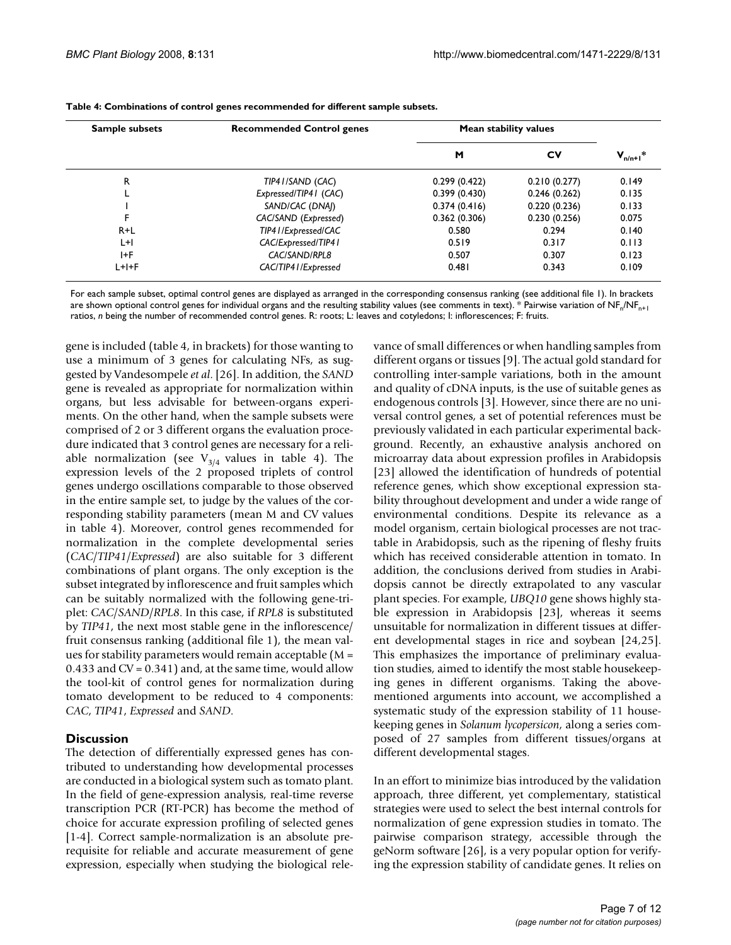| Sample subsets | <b>Recommended Control genes</b> | Mean stability values |              |               |
|----------------|----------------------------------|-----------------------|--------------|---------------|
|                |                                  | M                     | CV           | $V_{n/n+1}$ * |
| R              | TIP41/SAND (CAC)                 | 0.299(0.422)          | 0.210(0.277) | 0.149         |
|                | Expressed/TIP41 (CAC)            | 0.399(0.430)          | 0.246(0.262) | 0.135         |
|                | SAND/CAC (DNAJ)                  | 0.374(0.416)          | 0.220(0.236) | 0.133         |
| F              | CAC/SAND (Expressed)             | 0.362(0.306)          | 0.230(0.256) | 0.075         |
| R+L            | TIP4 I/Expressed/CAC             | 0.580                 | 0.294        | 0.140         |
| L+I            | CAC/Expressed/TIP41              | 0.519                 | 0.317        | 0.113         |
| 1+F            | CAC/SAND/RPL8                    | 0.507                 | 0.307        | 0.123         |
| L+I+F          | CAC/TIP4 I/Expressed             | 0.481                 | 0.343        | 0.109         |

#### **Table 4: Combinations of control genes recommended for different sample subsets.**

For each sample subset, optimal control genes are displayed as arranged in the corresponding consensus ranking (see additional file 1). In brackets are shown optional control genes for individual organs and the resulting stability values (see comments in text). \* Pairwise variation of NF<sub>n</sub>/NF<sub>n+1</sub> ratios, *n* being the number of recommended control genes. R: roots; L: leaves and cotyledons; I: inflorescences; F: fruits.

gene is included (table 4, in brackets) for those wanting to use a minimum of 3 genes for calculating NFs, as suggested by Vandesompele *et al*. [26]. In addition, the *SAND* gene is revealed as appropriate for normalization within organs, but less advisable for between-organs experiments. On the other hand, when the sample subsets were comprised of 2 or 3 different organs the evaluation procedure indicated that 3 control genes are necessary for a reliable normalization (see  $V_{3/4}$  values in table 4). The expression levels of the 2 proposed triplets of control genes undergo oscillations comparable to those observed in the entire sample set, to judge by the values of the corresponding stability parameters (mean M and CV values in table 4). Moreover, control genes recommended for normalization in the complete developmental series (*CAC*/*TIP41*/*Expressed*) are also suitable for 3 different combinations of plant organs. The only exception is the subset integrated by inflorescence and fruit samples which can be suitably normalized with the following gene-triplet: *CAC*/*SAND*/*RPL8*. In this case, if *RPL8* is substituted by *TIP41*, the next most stable gene in the inflorescence/ fruit consensus ranking (additional file 1), the mean values for stability parameters would remain acceptable (M = 0.433 and  $CV = 0.341$  and, at the same time, would allow the tool-kit of control genes for normalization during tomato development to be reduced to 4 components: *CAC*, *TIP41*, *Expressed* and *SAND*.

#### **Discussion**

The detection of differentially expressed genes has contributed to understanding how developmental processes are conducted in a biological system such as tomato plant. In the field of gene-expression analysis, real-time reverse transcription PCR (RT-PCR) has become the method of choice for accurate expression profiling of selected genes [1-4]. Correct sample-normalization is an absolute prerequisite for reliable and accurate measurement of gene expression, especially when studying the biological relevance of small differences or when handling samples from different organs or tissues [9]. The actual gold standard for controlling inter-sample variations, both in the amount and quality of cDNA inputs, is the use of suitable genes as endogenous controls [3]. However, since there are no universal control genes, a set of potential references must be previously validated in each particular experimental background. Recently, an exhaustive analysis anchored on microarray data about expression profiles in Arabidopsis [23] allowed the identification of hundreds of potential reference genes, which show exceptional expression stability throughout development and under a wide range of environmental conditions. Despite its relevance as a model organism, certain biological processes are not tractable in Arabidopsis, such as the ripening of fleshy fruits which has received considerable attention in tomato. In addition, the conclusions derived from studies in Arabidopsis cannot be directly extrapolated to any vascular plant species. For example, *UBQ10* gene shows highly stable expression in Arabidopsis [23], whereas it seems unsuitable for normalization in different tissues at different developmental stages in rice and soybean [24,25]. This emphasizes the importance of preliminary evaluation studies, aimed to identify the most stable housekeeping genes in different organisms. Taking the abovementioned arguments into account, we accomplished a systematic study of the expression stability of 11 housekeeping genes in *Solanum lycopersicon*, along a series composed of 27 samples from different tissues/organs at different developmental stages.

In an effort to minimize bias introduced by the validation approach, three different, yet complementary, statistical strategies were used to select the best internal controls for normalization of gene expression studies in tomato. The pairwise comparison strategy, accessible through the geNorm software [26], is a very popular option for verifying the expression stability of candidate genes. It relies on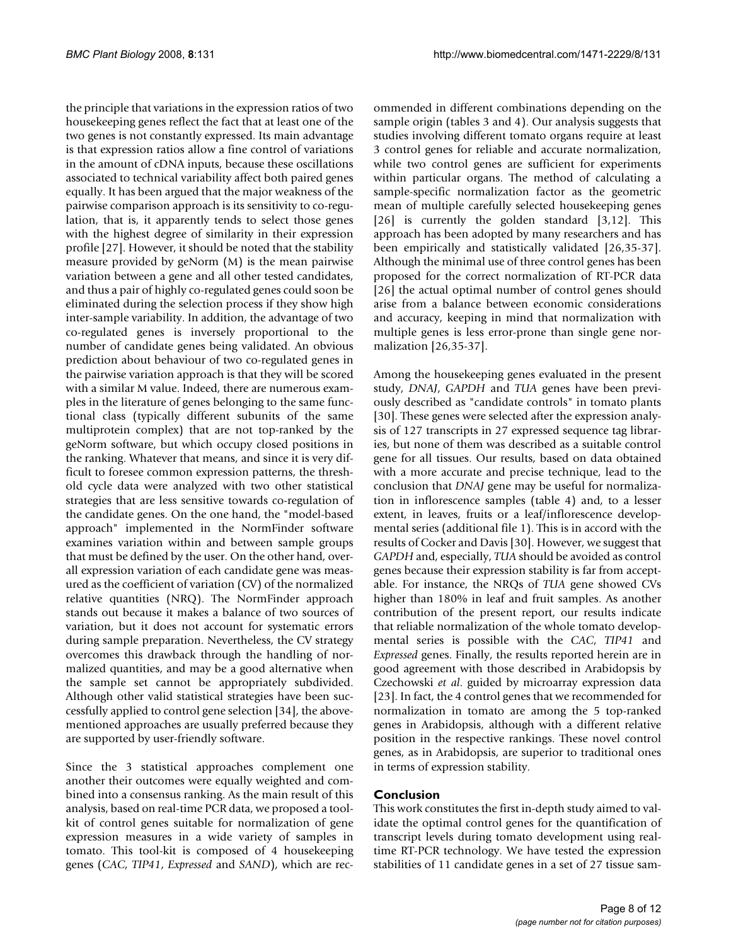the principle that variations in the expression ratios of two housekeeping genes reflect the fact that at least one of the two genes is not constantly expressed. Its main advantage is that expression ratios allow a fine control of variations in the amount of cDNA inputs, because these oscillations associated to technical variability affect both paired genes equally. It has been argued that the major weakness of the pairwise comparison approach is its sensitivity to co-regulation, that is, it apparently tends to select those genes with the highest degree of similarity in their expression profile [27]. However, it should be noted that the stability measure provided by geNorm (M) is the mean pairwise variation between a gene and all other tested candidates, and thus a pair of highly co-regulated genes could soon be eliminated during the selection process if they show high inter-sample variability. In addition, the advantage of two co-regulated genes is inversely proportional to the number of candidate genes being validated. An obvious prediction about behaviour of two co-regulated genes in the pairwise variation approach is that they will be scored with a similar M value. Indeed, there are numerous examples in the literature of genes belonging to the same functional class (typically different subunits of the same multiprotein complex) that are not top-ranked by the geNorm software, but which occupy closed positions in the ranking. Whatever that means, and since it is very difficult to foresee common expression patterns, the threshold cycle data were analyzed with two other statistical strategies that are less sensitive towards co-regulation of the candidate genes. On the one hand, the "model-based approach" implemented in the NormFinder software examines variation within and between sample groups that must be defined by the user. On the other hand, overall expression variation of each candidate gene was measured as the coefficient of variation (CV) of the normalized relative quantities (NRQ). The NormFinder approach stands out because it makes a balance of two sources of variation, but it does not account for systematic errors during sample preparation. Nevertheless, the CV strategy overcomes this drawback through the handling of normalized quantities, and may be a good alternative when the sample set cannot be appropriately subdivided. Although other valid statistical strategies have been successfully applied to control gene selection [34], the abovementioned approaches are usually preferred because they are supported by user-friendly software.

Since the 3 statistical approaches complement one another their outcomes were equally weighted and combined into a consensus ranking. As the main result of this analysis, based on real-time PCR data, we proposed a toolkit of control genes suitable for normalization of gene expression measures in a wide variety of samples in tomato. This tool-kit is composed of 4 housekeeping genes (*CAC*, *TIP41*, *Expressed* and *SAND*), which are recommended in different combinations depending on the sample origin (tables 3 and 4). Our analysis suggests that studies involving different tomato organs require at least 3 control genes for reliable and accurate normalization, while two control genes are sufficient for experiments within particular organs. The method of calculating a sample-specific normalization factor as the geometric mean of multiple carefully selected housekeeping genes [26] is currently the golden standard [3,12]. This approach has been adopted by many researchers and has been empirically and statistically validated [26,35-37]. Although the minimal use of three control genes has been proposed for the correct normalization of RT-PCR data [26] the actual optimal number of control genes should arise from a balance between economic considerations and accuracy, keeping in mind that normalization with multiple genes is less error-prone than single gene normalization [26,35-37].

Among the housekeeping genes evaluated in the present study, *DNAJ*, *GAPDH* and *TUA* genes have been previously described as "candidate controls" in tomato plants [30]. These genes were selected after the expression analysis of 127 transcripts in 27 expressed sequence tag libraries, but none of them was described as a suitable control gene for all tissues. Our results, based on data obtained with a more accurate and precise technique, lead to the conclusion that *DNAJ* gene may be useful for normalization in inflorescence samples (table 4) and, to a lesser extent, in leaves, fruits or a leaf/inflorescence developmental series (additional file 1). This is in accord with the results of Cocker and Davis [30]. However, we suggest that *GAPDH* and, especially, *TUA* should be avoided as control genes because their expression stability is far from acceptable. For instance, the NRQs of *TUA* gene showed CVs higher than 180% in leaf and fruit samples. As another contribution of the present report, our results indicate that reliable normalization of the whole tomato developmental series is possible with the *CAC*, *TIP41* and *Expressed* genes. Finally, the results reported herein are in good agreement with those described in Arabidopsis by Czechowski *et al*. guided by microarray expression data [23]. In fact, the 4 control genes that we recommended for normalization in tomato are among the 5 top-ranked genes in Arabidopsis, although with a different relative position in the respective rankings. These novel control genes, as in Arabidopsis, are superior to traditional ones in terms of expression stability.

# **Conclusion**

This work constitutes the first in-depth study aimed to validate the optimal control genes for the quantification of transcript levels during tomato development using realtime RT-PCR technology. We have tested the expression stabilities of 11 candidate genes in a set of 27 tissue sam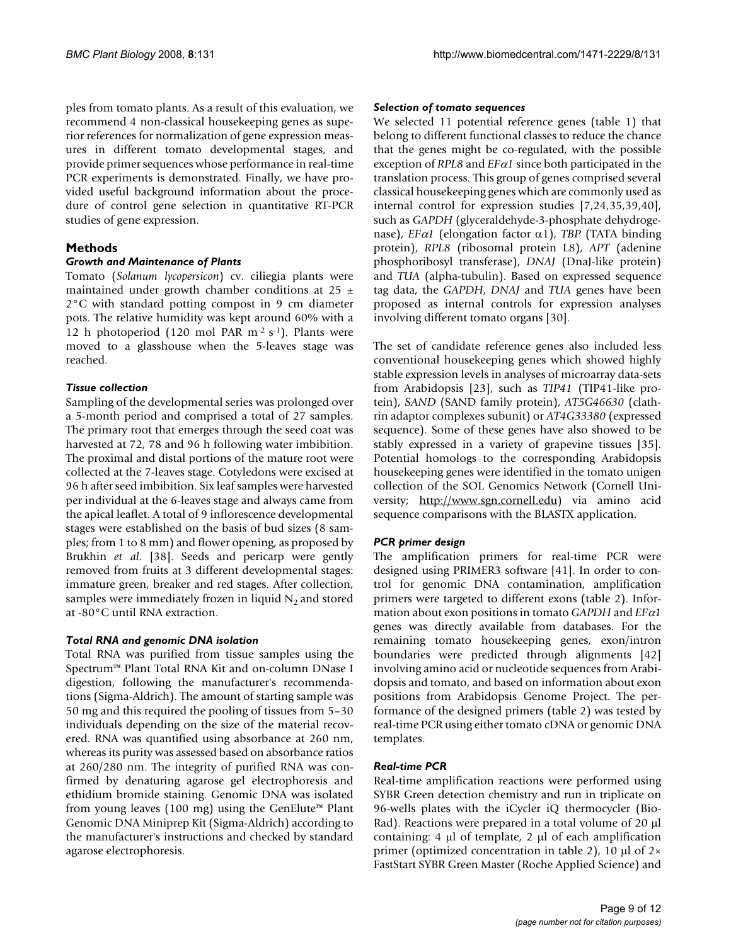ples from tomato plants. As a result of this evaluation, we recommend 4 non-classical housekeeping genes as superior references for normalization of gene expression measures in different tomato developmental stages, and provide primer sequences whose performance in real-time PCR experiments is demonstrated. Finally, we have provided useful background information about the procedure of control gene selection in quantitative RT-PCR studies of gene expression.

# **Methods**

# *Growth and Maintenance of Plants*

Tomato (*Solanum lycopersicon*) cv. ciliegia plants were maintained under growth chamber conditions at 25  $\pm$ 2°C with standard potting compost in 9 cm diameter pots. The relative humidity was kept around 60% with a 12 h photoperiod (120 mol PAR  $m<sup>-2</sup>$  s<sup>-1</sup>). Plants were moved to a glasshouse when the 5-leaves stage was reached.

# *Tissue collection*

Sampling of the developmental series was prolonged over a 5-month period and comprised a total of 27 samples. The primary root that emerges through the seed coat was harvested at 72, 78 and 96 h following water imbibition. The proximal and distal portions of the mature root were collected at the 7-leaves stage. Cotyledons were excised at 96 h after seed imbibition. Six leaf samples were harvested per individual at the 6-leaves stage and always came from the apical leaflet. A total of 9 inflorescence developmental stages were established on the basis of bud sizes (8 samples; from 1 to 8 mm) and flower opening, as proposed by Brukhin *et al*. [38]. Seeds and pericarp were gently removed from fruits at 3 different developmental stages: immature green, breaker and red stages. After collection, samples were immediately frozen in liquid  $N_2$  and stored at -80°C until RNA extraction.

# *Total RNA and genomic DNA isolation*

Total RNA was purified from tissue samples using the Spectrum™ Plant Total RNA Kit and on-column DNase I digestion, following the manufacturer's recommendations (Sigma-Aldrich). The amount of starting sample was 50 mg and this required the pooling of tissues from 5–30 individuals depending on the size of the material recovered. RNA was quantified using absorbance at 260 nm, whereas its purity was assessed based on absorbance ratios at 260/280 nm. The integrity of purified RNA was confirmed by denaturing agarose gel electrophoresis and ethidium bromide staining. Genomic DNA was isolated from young leaves (100 mg) using the GenElute™ Plant Genomic DNA Miniprep Kit (Sigma-Aldrich) according to the manufacturer's instructions and checked by standard agarose electrophoresis.

# *Selection of tomato sequences*

We selected 11 potential reference genes (table 1) that belong to different functional classes to reduce the chance that the genes might be co-regulated, with the possible exception of *RPL8* and *EF*α*1* since both participated in the translation process. This group of genes comprised several classical housekeeping genes which are commonly used as internal control for expression studies [7,24,35,39,40], such as *GAPDH* (glyceraldehyde-3-phosphate dehydrogenase), *EF*α*1* (elongation factor α1), *TBP* (TATA binding protein), *RPL8* (ribosomal protein L8), *APT* (adenine phosphoribosyl transferase), *DNAJ* (DnaJ-like protein) and *TUA* (alpha-tubulin). Based on expressed sequence tag data, the *GAPDH*, *DNAJ* and *TUA* genes have been proposed as internal controls for expression analyses involving different tomato organs [30].

The set of candidate reference genes also included less conventional housekeeping genes which showed highly stable expression levels in analyses of microarray data-sets from Arabidopsis [23], such as *TIP41* (TIP41-like protein), *SAND* (SAND family protein), *AT5G46630* (clathrin adaptor complexes subunit) or *AT4G33380* (expressed sequence). Some of these genes have also showed to be stably expressed in a variety of grapevine tissues [35]. Potential homologs to the corresponding Arabidopsis housekeeping genes were identified in the tomato unigen collection of the SOL Genomics Network (Cornell University; [http://www.sgn.cornell.edu\)](http://www.sgn.cornell.edu) via amino acid sequence comparisons with the BLASTX application.

# *PCR primer design*

The amplification primers for real-time PCR were designed using PRIMER3 software [41]. In order to control for genomic DNA contamination, amplification primers were targeted to different exons (table 2). Information about exon positions in tomato *GAPDH* and *EF*α*1* genes was directly available from databases. For the remaining tomato housekeeping genes, exon/intron boundaries were predicted through alignments [42] involving amino acid or nucleotide sequences from Arabidopsis and tomato, and based on information about exon positions from Arabidopsis Genome Project. The performance of the designed primers (table 2) was tested by real-time PCR using either tomato cDNA or genomic DNA templates.

# *Real-time PCR*

Real-time amplification reactions were performed using SYBR Green detection chemistry and run in triplicate on 96-wells plates with the iCycler iQ thermocycler (Bio-Rad). Reactions were prepared in a total volume of 20 μl containing: 4 μl of template, 2 μl of each amplification primer (optimized concentration in table 2), 10 μl of 2× FastStart SYBR Green Master (Roche Applied Science) and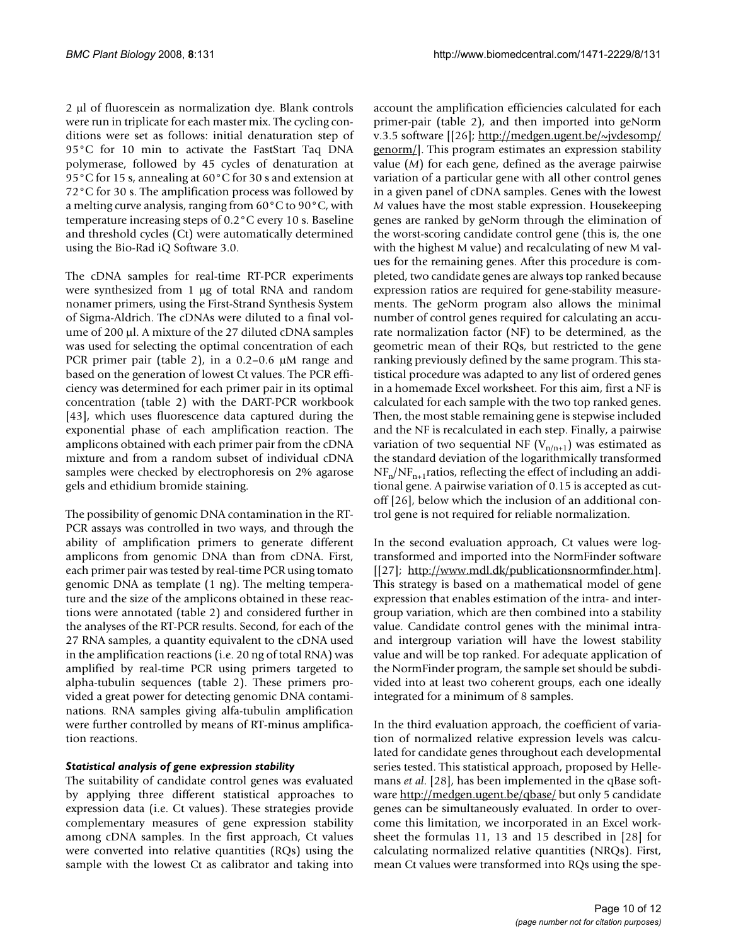2 μl of fluorescein as normalization dye. Blank controls were run in triplicate for each master mix. The cycling conditions were set as follows: initial denaturation step of 95°C for 10 min to activate the FastStart Taq DNA polymerase, followed by 45 cycles of denaturation at 95°C for 15 s, annealing at 60°C for 30 s and extension at 72°C for 30 s. The amplification process was followed by a melting curve analysis, ranging from 60°C to 90°C, with temperature increasing steps of 0.2°C every 10 s. Baseline and threshold cycles (Ct) were automatically determined using the Bio-Rad iQ Software 3.0.

The cDNA samples for real-time RT-PCR experiments were synthesized from 1 μg of total RNA and random nonamer primers, using the First-Strand Synthesis System of Sigma-Aldrich. The cDNAs were diluted to a final volume of 200 μl. A mixture of the 27 diluted cDNA samples was used for selecting the optimal concentration of each PCR primer pair (table 2), in a 0.2–0.6 μM range and based on the generation of lowest Ct values. The PCR efficiency was determined for each primer pair in its optimal concentration (table 2) with the DART-PCR workbook [43], which uses fluorescence data captured during the exponential phase of each amplification reaction. The amplicons obtained with each primer pair from the cDNA mixture and from a random subset of individual cDNA samples were checked by electrophoresis on 2% agarose gels and ethidium bromide staining.

The possibility of genomic DNA contamination in the RT-PCR assays was controlled in two ways, and through the ability of amplification primers to generate different amplicons from genomic DNA than from cDNA. First, each primer pair was tested by real-time PCR using tomato genomic DNA as template (1 ng). The melting temperature and the size of the amplicons obtained in these reactions were annotated (table 2) and considered further in the analyses of the RT-PCR results. Second, for each of the 27 RNA samples, a quantity equivalent to the cDNA used in the amplification reactions (i.e. 20 ng of total RNA) was amplified by real-time PCR using primers targeted to alpha-tubulin sequences (table 2). These primers provided a great power for detecting genomic DNA contaminations. RNA samples giving alfa-tubulin amplification were further controlled by means of RT-minus amplification reactions.

# *Statistical analysis of gene expression stability*

The suitability of candidate control genes was evaluated by applying three different statistical approaches to expression data (i.e. Ct values). These strategies provide complementary measures of gene expression stability among cDNA samples. In the first approach, Ct values were converted into relative quantities (RQs) using the sample with the lowest Ct as calibrator and taking into

account the amplification efficiencies calculated for each primer-pair (table 2), and then imported into geNorm v.3.5 software [[26]; [http://medgen.ugent.be/~jvdesomp/](http://medgen.ugent.be/~jvdesomp/genorm/) [genorm/](http://medgen.ugent.be/~jvdesomp/genorm/)]. This program estimates an expression stability value (*M*) for each gene, defined as the average pairwise variation of a particular gene with all other control genes in a given panel of cDNA samples. Genes with the lowest *M* values have the most stable expression. Housekeeping genes are ranked by geNorm through the elimination of the worst-scoring candidate control gene (this is, the one with the highest M value) and recalculating of new M values for the remaining genes. After this procedure is completed, two candidate genes are always top ranked because expression ratios are required for gene-stability measurements. The geNorm program also allows the minimal number of control genes required for calculating an accurate normalization factor (NF) to be determined, as the geometric mean of their RQs, but restricted to the gene ranking previously defined by the same program. This statistical procedure was adapted to any list of ordered genes in a homemade Excel worksheet. For this aim, first a NF is calculated for each sample with the two top ranked genes. Then, the most stable remaining gene is stepwise included and the NF is recalculated in each step. Finally, a pairwise variation of two sequential NF  $(V_{n/n+1})$  was estimated as the standard deviation of the logarithmically transformed  $NF_n/NF_{n+1}$ ratios, reflecting the effect of including an additional gene. A pairwise variation of 0.15 is accepted as cutoff [26], below which the inclusion of an additional control gene is not required for reliable normalization.

In the second evaluation approach, Ct values were logtransformed and imported into the NormFinder software [[27]; <http://www.mdl.dk/publicationsnormfinder.htm>]. This strategy is based on a mathematical model of gene expression that enables estimation of the intra- and intergroup variation, which are then combined into a stability value. Candidate control genes with the minimal intraand intergroup variation will have the lowest stability value and will be top ranked. For adequate application of the NormFinder program, the sample set should be subdivided into at least two coherent groups, each one ideally integrated for a minimum of 8 samples.

In the third evaluation approach, the coefficient of variation of normalized relative expression levels was calculated for candidate genes throughout each developmental series tested. This statistical approach, proposed by Hellemans *et al*. [28], has been implemented in the qBase software<http://medgen.ugent.be/qbase/> but only 5 candidate genes can be simultaneously evaluated. In order to overcome this limitation, we incorporated in an Excel worksheet the formulas 11, 13 and 15 described in [28] for calculating normalized relative quantities (NRQs). First, mean Ct values were transformed into RQs using the spe-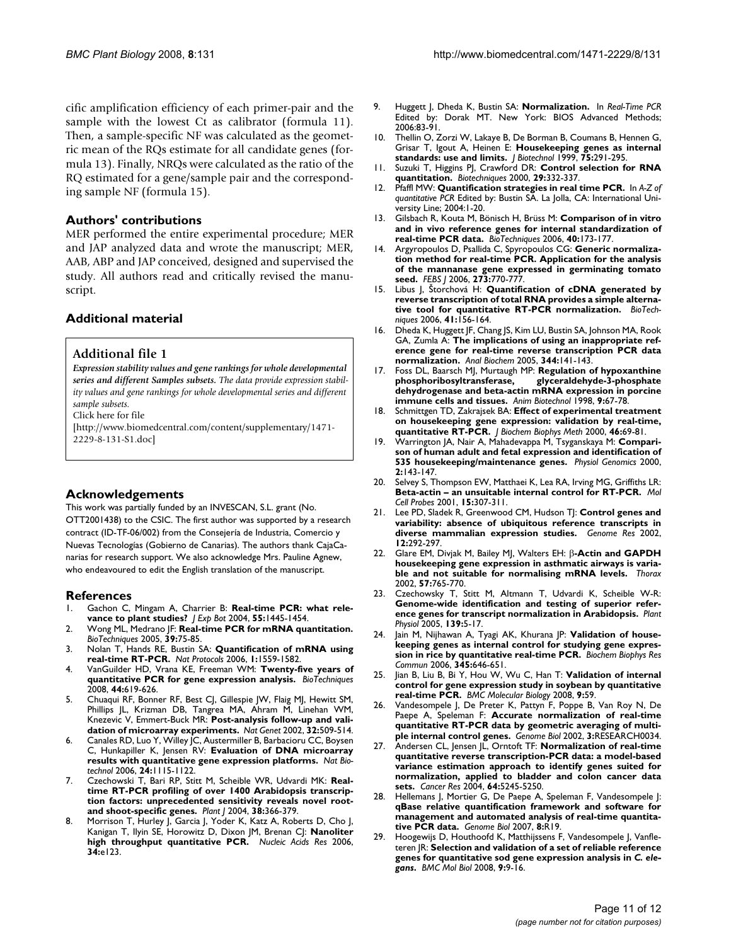cific amplification efficiency of each primer-pair and the sample with the lowest Ct as calibrator (formula 11). Then, a sample-specific NF was calculated as the geometric mean of the RQs estimate for all candidate genes (formula 13). Finally, NRQs were calculated as the ratio of the RQ estimated for a gene/sample pair and the corresponding sample NF (formula 15).

## **Authors' contributions**

MER performed the entire experimental procedure; MER and JAP analyzed data and wrote the manuscript; MER, AAB, ABP and JAP conceived, designed and supervised the study. All authors read and critically revised the manuscript.

# **Additional material**

### **Additional file 1**

*Expression stability values and gene rankings for whole developmental series and different Samples subsets. The data provide expression stability values and gene rankings for whole developmental series and different sample subsets.*

Click here for file

[\[http://www.biomedcentral.com/content/supplementary/1471-](http://www.biomedcentral.com/content/supplementary/1471-2229-8-131-S1.doc) 2229-8-131-S1.doc]

### **Acknowledgements**

This work was partially funded by an INVESCAN, S.L. grant (No. OTT2001438) to the CSIC. The first author was supported by a research contract (ID-TF-06/002) from the Consejería de Industria, Comercio y Nuevas Tecnologías (Gobierno de Canarias). The authors thank CajaCanarias for research support. We also acknowledge Mrs. Pauline Agnew, who endeavoured to edit the English translation of the manuscript.

### **References**

- 1. Gachon C, Mingam A, Charrier B: **[Real-time PCR: what rele](http://www.ncbi.nlm.nih.gov/entrez/query.fcgi?cmd=Retrieve&db=PubMed&dopt=Abstract&list_uids=15208338)[vance to plant studies?](http://www.ncbi.nlm.nih.gov/entrez/query.fcgi?cmd=Retrieve&db=PubMed&dopt=Abstract&list_uids=15208338)** *J Exp Bot* 2004, **55:**1445-1454.
- 2. Wong ML, Medrano JF: **[Real-time PCR for mRNA quantitation.](http://www.ncbi.nlm.nih.gov/entrez/query.fcgi?cmd=Retrieve&db=PubMed&dopt=Abstract&list_uids=16060372)** *BioTechniques* 2005, **39:**75-85.
- 3. Nolan T, Hands RE, Bustin SA: **Quantification of mRNA using real-time RT-PCR.** *Nat Protocols* 2006, **1:**1559-1582.
- 4. VanGuilder HD, Vrana KE, Freeman WM: **[Twenty-five years of](http://www.ncbi.nlm.nih.gov/entrez/query.fcgi?cmd=Retrieve&db=PubMed&dopt=Abstract&list_uids=18474036) [quantitative PCR for gene expression analysis.](http://www.ncbi.nlm.nih.gov/entrez/query.fcgi?cmd=Retrieve&db=PubMed&dopt=Abstract&list_uids=18474036)** *BioTechniques* 2008, **44:**619-626.
- 5. Chuaqui RF, Bonner RF, Best CJ, Gillespie JW, Flaig MJ, Hewitt SM, Phillips JL, Krizman DB, Tangrea MA, Ahram M, Linehan WM, Knezevic V, Emmert-Buck MR: **[Post-analysis follow-up and vali](http://www.ncbi.nlm.nih.gov/entrez/query.fcgi?cmd=Retrieve&db=PubMed&dopt=Abstract&list_uids=12454646)[dation of microarray experiments.](http://www.ncbi.nlm.nih.gov/entrez/query.fcgi?cmd=Retrieve&db=PubMed&dopt=Abstract&list_uids=12454646)** *Nat Genet* 2002, **32:**509-514.
- 6. Canales RD, Luo Y, Willey JC, Austermiller B, Barbacioru CC, Boysen C, Hunkapiller K, Jensen RV: **[Evaluation of DNA microarray](http://www.ncbi.nlm.nih.gov/entrez/query.fcgi?cmd=Retrieve&db=PubMed&dopt=Abstract&list_uids=16964225) [results with quantitative gene expression platforms.](http://www.ncbi.nlm.nih.gov/entrez/query.fcgi?cmd=Retrieve&db=PubMed&dopt=Abstract&list_uids=16964225)** *Nat Biotechnol* 2006, **24:**1115-1122.
- 7. Czechowski T, Bari RP, Stitt M, Scheible WR, Udvardi MK: **[Real](http://www.ncbi.nlm.nih.gov/entrez/query.fcgi?cmd=Retrieve&db=PubMed&dopt=Abstract&list_uids=15078338)[time RT-PCR profiling of over 1400 Arabidopsis transcrip](http://www.ncbi.nlm.nih.gov/entrez/query.fcgi?cmd=Retrieve&db=PubMed&dopt=Abstract&list_uids=15078338)tion factors: unprecedented sensitivity reveals novel root[and shoot-specific genes.](http://www.ncbi.nlm.nih.gov/entrez/query.fcgi?cmd=Retrieve&db=PubMed&dopt=Abstract&list_uids=15078338)** *Plant J* 2004, **38:**366-379.
- Morrison T, Hurley J, Garcia J, Yoder K, Katz A, Roberts D, Cho J, Kanigan T, Ilyin SE, Horowitz D, Dixon JM, Brenan CJ: **[Nanoliter](http://www.ncbi.nlm.nih.gov/entrez/query.fcgi?cmd=Retrieve&db=PubMed&dopt=Abstract&list_uids=17000636) [high throughput quantitative PCR.](http://www.ncbi.nlm.nih.gov/entrez/query.fcgi?cmd=Retrieve&db=PubMed&dopt=Abstract&list_uids=17000636)** *Nucleic Acids Res* 2006, **34:**e123.
- 9. Huggett J, Dheda K, Bustin SA: **Normalization.** In *Real-Time PCR* Edited by: Dorak MT. New York: BIOS Advanced Methods; 2006:83-91.
- 10. Thellin O, Zorzi W, Lakaye B, De Borman B, Coumans B, Hennen G, Grisar T, Igout A, Heinen E: **[Housekeeping genes as internal](http://www.ncbi.nlm.nih.gov/entrez/query.fcgi?cmd=Retrieve&db=PubMed&dopt=Abstract&list_uids=10617337) [standards: use and limits.](http://www.ncbi.nlm.nih.gov/entrez/query.fcgi?cmd=Retrieve&db=PubMed&dopt=Abstract&list_uids=10617337)** *J Biotechnol* 1999, **75:**291-295.
- 11. Suzuki T, Higgins PJ, Crawford DR: **[Control selection for RNA](http://www.ncbi.nlm.nih.gov/entrez/query.fcgi?cmd=Retrieve&db=PubMed&dopt=Abstract&list_uids=10948434) [quantitation.](http://www.ncbi.nlm.nih.gov/entrez/query.fcgi?cmd=Retrieve&db=PubMed&dopt=Abstract&list_uids=10948434)** *Biotechniques* 2000, **29:**332-337.
- 12. Pfaffl MW: **Quantification strategies in real time PCR.** In *A-Z of quantitative PCR* Edited by: Bustin SA. La Jolla, CA: International University Line; 2004:1-20.
- 13. Gilsbach R, Kouta M, Bönisch H, Brüss M: **[Comparison of in vitro](http://www.ncbi.nlm.nih.gov/entrez/query.fcgi?cmd=Retrieve&db=PubMed&dopt=Abstract&list_uids=16526406) [and in vivo reference genes for internal standardization of](http://www.ncbi.nlm.nih.gov/entrez/query.fcgi?cmd=Retrieve&db=PubMed&dopt=Abstract&list_uids=16526406) [real-time PCR data.](http://www.ncbi.nlm.nih.gov/entrez/query.fcgi?cmd=Retrieve&db=PubMed&dopt=Abstract&list_uids=16526406)** *BioTechniques* 2006, **40:**173-177.
- 14. Argyropoulos D, Psallida C, Spyropoulos CG: **[Generic normaliza](http://www.ncbi.nlm.nih.gov/entrez/query.fcgi?cmd=Retrieve&db=PubMed&dopt=Abstract&list_uids=16441663)[tion method for real-time PCR. Application for the analysis](http://www.ncbi.nlm.nih.gov/entrez/query.fcgi?cmd=Retrieve&db=PubMed&dopt=Abstract&list_uids=16441663) of the mannanase gene expressed in germinating tomato [seed.](http://www.ncbi.nlm.nih.gov/entrez/query.fcgi?cmd=Retrieve&db=PubMed&dopt=Abstract&list_uids=16441663)** *FEBS J* 2006, **273:**770-777.
- 15. Libus J, Štorchová H: **[Quantification of cDNA generated by](http://www.ncbi.nlm.nih.gov/entrez/query.fcgi?cmd=Retrieve&db=PubMed&dopt=Abstract&list_uids=16925017) [reverse transcription of total RNA provides a simple alterna](http://www.ncbi.nlm.nih.gov/entrez/query.fcgi?cmd=Retrieve&db=PubMed&dopt=Abstract&list_uids=16925017)[tive tool for quantitative RT-PCR normalization.](http://www.ncbi.nlm.nih.gov/entrez/query.fcgi?cmd=Retrieve&db=PubMed&dopt=Abstract&list_uids=16925017)** *BioTechniques* 2006, **41:**156-164.
- 16. Dheda K, Huggett JF, Chang JS, Kim LU, Bustin SA, Johnson MA, Rook GA, Zumla A: **[The implications of using an inappropriate ref](http://www.ncbi.nlm.nih.gov/entrez/query.fcgi?cmd=Retrieve&db=PubMed&dopt=Abstract&list_uids=16054107)[erence gene for real-time reverse transcription PCR data](http://www.ncbi.nlm.nih.gov/entrez/query.fcgi?cmd=Retrieve&db=PubMed&dopt=Abstract&list_uids=16054107) [normalization.](http://www.ncbi.nlm.nih.gov/entrez/query.fcgi?cmd=Retrieve&db=PubMed&dopt=Abstract&list_uids=16054107)** *Anal Biochem* 2005, **344:**141-143.
- 17. Foss DL, Baarsch MJ, Murtaugh MP: **[Regulation of hypoxanthine](http://www.ncbi.nlm.nih.gov/entrez/query.fcgi?cmd=Retrieve&db=PubMed&dopt=Abstract&list_uids=9676236) [phosphoribosyltransferase, glyceraldehyde-3-phosphate](http://www.ncbi.nlm.nih.gov/entrez/query.fcgi?cmd=Retrieve&db=PubMed&dopt=Abstract&list_uids=9676236) dehydrogenase and beta-actin mRNA expression in porcine [immune cells and tissues.](http://www.ncbi.nlm.nih.gov/entrez/query.fcgi?cmd=Retrieve&db=PubMed&dopt=Abstract&list_uids=9676236)** *Anim Biotechnol* 1998, **9:**67-78.
- 18. Schmittgen TD, Zakrajsek BA: **[Effect of experimental treatment](http://www.ncbi.nlm.nih.gov/entrez/query.fcgi?cmd=Retrieve&db=PubMed&dopt=Abstract&list_uids=11086195) [on housekeeping gene expression: validation by real-time,](http://www.ncbi.nlm.nih.gov/entrez/query.fcgi?cmd=Retrieve&db=PubMed&dopt=Abstract&list_uids=11086195) [quantitative RT-PCR.](http://www.ncbi.nlm.nih.gov/entrez/query.fcgi?cmd=Retrieve&db=PubMed&dopt=Abstract&list_uids=11086195)** *J Biochem Biophys Meth* 2000, **46:**69-81.
- 19. Warrington JA, Nair A, Mahadevappa M, Tsyganskaya M: **[Compari](http://www.ncbi.nlm.nih.gov/entrez/query.fcgi?cmd=Retrieve&db=PubMed&dopt=Abstract&list_uids=11015593)[son of human adult and fetal expression and identification of](http://www.ncbi.nlm.nih.gov/entrez/query.fcgi?cmd=Retrieve&db=PubMed&dopt=Abstract&list_uids=11015593) [535 housekeeping/maintenance genes.](http://www.ncbi.nlm.nih.gov/entrez/query.fcgi?cmd=Retrieve&db=PubMed&dopt=Abstract&list_uids=11015593)** *Physiol Genomics* 2000, **2:**143-147.
- 20. Selvey S, Thompson EW, Matthaei K, Lea RA, Irving MG, Griffiths LR: **[Beta-actin – an unsuitable internal control for RT-PCR.](http://www.ncbi.nlm.nih.gov/entrez/query.fcgi?cmd=Retrieve&db=PubMed&dopt=Abstract&list_uids=11735303)** *Mol Cell Probes* 2001, **15:**307-311.
- 21. Lee PD, Sladek R, Greenwood CM, Hudson TJ: **[Control genes and](http://www.ncbi.nlm.nih.gov/entrez/query.fcgi?cmd=Retrieve&db=PubMed&dopt=Abstract&list_uids=11827948) [variability: absence of ubiquitous reference transcripts in](http://www.ncbi.nlm.nih.gov/entrez/query.fcgi?cmd=Retrieve&db=PubMed&dopt=Abstract&list_uids=11827948) [diverse mammalian expression studies.](http://www.ncbi.nlm.nih.gov/entrez/query.fcgi?cmd=Retrieve&db=PubMed&dopt=Abstract&list_uids=11827948)** *Genome Res* 2002, **12:**292-297.
- 22. Glare EM, Divjak M, Bailey MJ, Walters EH: β**[-Actin and GAPDH](http://www.ncbi.nlm.nih.gov/entrez/query.fcgi?cmd=Retrieve&db=PubMed&dopt=Abstract&list_uids=12200519) [housekeeping gene expression in asthmatic airways is varia](http://www.ncbi.nlm.nih.gov/entrez/query.fcgi?cmd=Retrieve&db=PubMed&dopt=Abstract&list_uids=12200519)[ble and not suitable for normalising mRNA levels.](http://www.ncbi.nlm.nih.gov/entrez/query.fcgi?cmd=Retrieve&db=PubMed&dopt=Abstract&list_uids=12200519)** *Thorax* 2002, **57:**765-770.
- 23. Czechowsky T, Stitt M, Altmann T, Udvardi K, Scheible W-R: **[Genome-wide identification and testing of superior refer](http://www.ncbi.nlm.nih.gov/entrez/query.fcgi?cmd=Retrieve&db=PubMed&dopt=Abstract&list_uids=16166256)[ence genes for transcript normalization in Arabidopsis.](http://www.ncbi.nlm.nih.gov/entrez/query.fcgi?cmd=Retrieve&db=PubMed&dopt=Abstract&list_uids=16166256)** *Plant Physiol* 2005, **139:**5-17.
- 24. Jain M, Nijhawan A, Tyagi AK, Khurana JP: **[Validation of house](http://www.ncbi.nlm.nih.gov/entrez/query.fcgi?cmd=Retrieve&db=PubMed&dopt=Abstract&list_uids=16690022)[keeping genes as internal control for studying gene expres](http://www.ncbi.nlm.nih.gov/entrez/query.fcgi?cmd=Retrieve&db=PubMed&dopt=Abstract&list_uids=16690022)[sion in rice by quantitative real-time PCR.](http://www.ncbi.nlm.nih.gov/entrez/query.fcgi?cmd=Retrieve&db=PubMed&dopt=Abstract&list_uids=16690022)** *Biochem Biophys Res Commun* 2006, **345:**646-651.
- 25. Jian B, Liu B, Bi Y, Hou W, Wu C, Han T: **[Validation of internal](http://www.ncbi.nlm.nih.gov/entrez/query.fcgi?cmd=Retrieve&db=PubMed&dopt=Abstract&list_uids=18573215) [control for gene expression study in soybean by quantitative](http://www.ncbi.nlm.nih.gov/entrez/query.fcgi?cmd=Retrieve&db=PubMed&dopt=Abstract&list_uids=18573215) [real-time PCR.](http://www.ncbi.nlm.nih.gov/entrez/query.fcgi?cmd=Retrieve&db=PubMed&dopt=Abstract&list_uids=18573215)** *BMC Molecular Biology* 2008, **9:**59.
- 26. Vandesompele J, De Preter K, Pattyn F, Poppe B, Van Roy N, De Paepe A, Speleman F: [Accurate normalization of real-time](http://www.ncbi.nlm.nih.gov/entrez/query.fcgi?cmd=Retrieve&db=PubMed&dopt=Abstract&list_uids=12184808) **[quantitative RT-PCR data by geometric averaging of multi](http://www.ncbi.nlm.nih.gov/entrez/query.fcgi?cmd=Retrieve&db=PubMed&dopt=Abstract&list_uids=12184808)[ple internal control genes.](http://www.ncbi.nlm.nih.gov/entrez/query.fcgi?cmd=Retrieve&db=PubMed&dopt=Abstract&list_uids=12184808)** *Genome Biol* 2002, **3:**RESEARCH0034.
- Andersen CL, Jensen JL, Orntoft TF: **[Normalization of real-time](http://www.ncbi.nlm.nih.gov/entrez/query.fcgi?cmd=Retrieve&db=PubMed&dopt=Abstract&list_uids=15289330) quantitative reverse transcription-PCR data: a model-based [variance estimation approach to identify genes suited for](http://www.ncbi.nlm.nih.gov/entrez/query.fcgi?cmd=Retrieve&db=PubMed&dopt=Abstract&list_uids=15289330) normalization, applied to bladder and colon cancer data [sets.](http://www.ncbi.nlm.nih.gov/entrez/query.fcgi?cmd=Retrieve&db=PubMed&dopt=Abstract&list_uids=15289330)** *Cancer Res* 2004, **64:**5245-5250.
- 28. Hellemans J, Mortier G, De Paepe A, Speleman F, Vandesompele J: **[qBase relative quantification framework and software for](http://www.ncbi.nlm.nih.gov/entrez/query.fcgi?cmd=Retrieve&db=PubMed&dopt=Abstract&list_uids=17291332) management and automated analysis of real-time quantita[tive PCR data.](http://www.ncbi.nlm.nih.gov/entrez/query.fcgi?cmd=Retrieve&db=PubMed&dopt=Abstract&list_uids=17291332)** *Genome Biol* 2007, **8:**R19.
- Hoogewijs D, Houthoofd K, Matthijssens F, Vandesompele J, Vanfleteren JR: **Selection and validation of a set of reliable reference genes for quantitative sod gene expression analysis in** *C. elegans***[.](http://www.ncbi.nlm.nih.gov/entrez/query.fcgi?cmd=Retrieve&db=PubMed&dopt=Abstract&list_uids=18211699)** *BMC Mol Biol* 2008, **9:**9-16.